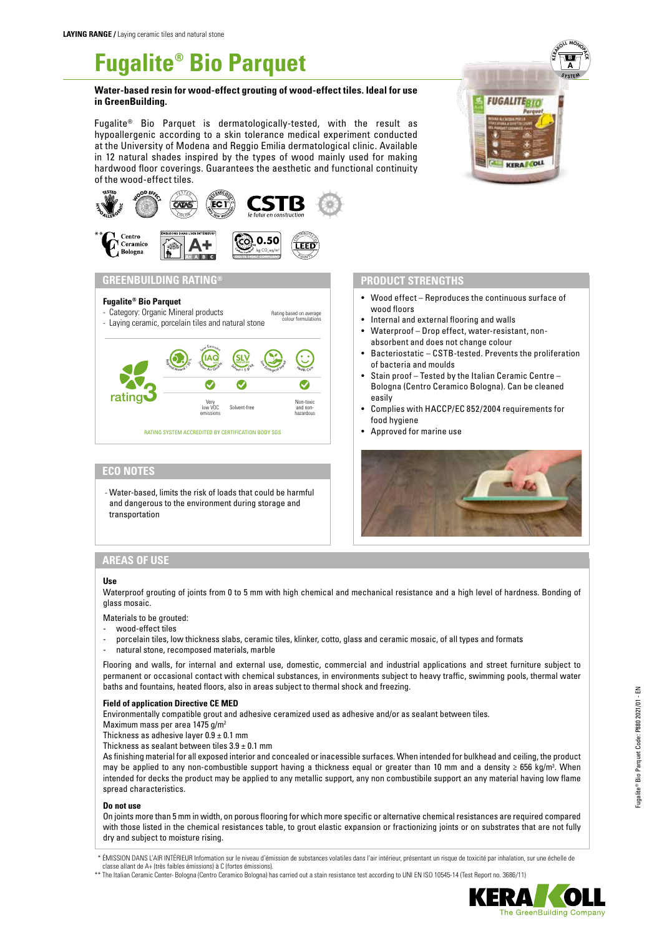# **Fugalite® Bio Parquet**

#### **Water-based resin for wood-effect grouting of wood-effect tiles. Ideal for use in GreenBuilding.**

Fugalite® Bio Parquet is dermatologically-tested, with the result as hypoallergenic according to a skin tolerance medical experiment conducted at the University of Modena and Reggio Emilia dermatological clinic. Available in 12 natural shades inspired by the types of wood mainly used for making hardwood floor coverings. Guarantees the aesthetic and functional continuity of the wood-effect tiles.



#### **GREENBUILDING RATING®**

#### **Fugalite® Bio Parquet**

- Category: Organic Mineral products Rating based on average<br>colour formulations
- Laying ceramic, porcelain tiles and natural stone



### **ECO NOTES**

- Water-based, limits the risk of loads that could be harmful and dangerous to the environment during storage and transportation

# **KERAKOLL MONOS B A SYSTEM FUGALITEBTO**

### **PRODUCT STRENGTHS**

- Wood effect Reproduces the continuous surface of wood floors
- Internal and external flooring and walls
- Waterproof Drop effect, water-resistant, nonabsorbent and does not change colour
- Bacteriostatic CSTB-tested. Prevents the proliferation of bacteria and moulds
- Stain proof Tested by the Italian Ceramic Centre Bologna (Centro Ceramico Bologna). Can be cleaned easily
- Complies with HACCP/EC 852/2004 requirements for food hygiene
- Approved for marine use



# **AREAS OF USE**

#### **Use**

Waterproof grouting of joints from 0 to 5 mm with high chemical and mechanical resistance and a high level of hardness. Bonding of glass mosaic.

Materials to be grouted:

- wood-effect tiles
- porcelain tiles, low thickness slabs, ceramic tiles, klinker, cotto, glass and ceramic mosaic, of all types and formats
- natural stone, recomposed materials, marble

Flooring and walls, for internal and external use, domestic, commercial and industrial applications and street furniture subject to permanent or occasional contact with chemical substances, in environments subject to heavy traffic, swimming pools, thermal water baths and fountains, heated floors, also in areas subject to thermal shock and freezing.

#### **Field of application Directive CE MED**

Environmentally compatible grout and adhesive ceramized used as adhesive and/or as sealant between tiles.

Maximum mass per area 1475 g/m2

Thickness as adhesive layer  $0.9 \pm 0.1$  mm

Thickness as sealant between tiles  $3.9 \pm 0.1$  mm

As finishing material for all exposed interior and concealed or inacessible surfaces. When intended for bulkhead and ceiling, the product may be applied to any non-combustible support having a thickness equal or greater than 10 mm and a density ≥ 656 kg/m<sup>3</sup>. When intended for decks the product may be applied to any metallic support, any non combustibile support an any material having low flame spread characteristics.

#### **Do not use**

On joints more than 5 mm in width, on porous flooring for which more specific or alternative chemical resistances are required compared with those listed in the chemical resistances table, to grout elastic expansion or fractionizing joints or on substrates that are not fully dry and subject to moisture rising.

\*\* The Italian Ceramic Center- Bologna (Centro Ceramico Bologna) has carried out a stain resistance test according to UNI EN ISO 10545-14 (Test Report no. 3686/11)



<sup>\*</sup> ÉMISSION DANS L'AIR INTÉRIEUR Information sur le niveau d'émission de substances volatiles dans l'air intérieur, présentant un risque de toxicité par inhalation, sur une échelle de classe allant de A+ (très faibles émissions) à C (fortes émissions).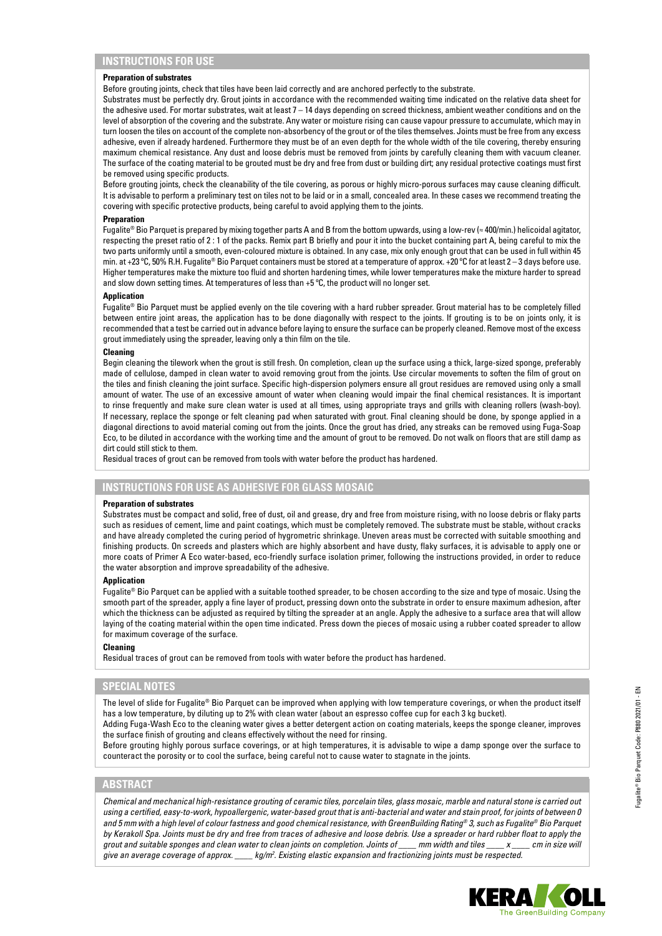#### **Preparation of substrates**

Before grouting joints, check that tiles have been laid correctly and are anchored perfectly to the substrate.

Substrates must be perfectly dry. Grout joints in accordance with the recommended waiting time indicated on the relative data sheet for the adhesive used. For mortar substrates, wait at least 7 – 14 days depending on screed thickness, ambient weather conditions and on the level of absorption of the covering and the substrate. Any water or moisture rising can cause vapour pressure to accumulate, which may in turn loosen the tiles on account of the complete non-absorbency of the grout or of the tiles themselves. Joints must be free from any excess adhesive, even if already hardened. Furthermore they must be of an even depth for the whole width of the tile covering, thereby ensuring maximum chemical resistance. Any dust and loose debris must be removed from joints by carefully cleaning them with vacuum cleaner. The surface of the coating material to be grouted must be dry and free from dust or building dirt; any residual protective coatings must first be removed using specific products.

Before grouting joints, check the cleanability of the tile covering, as porous or highly micro-porous surfaces may cause cleaning difficult. It is advisable to perform a preliminary test on tiles not to be laid or in a small, concealed area. In these cases we recommend treating the covering with specific protective products, being careful to avoid applying them to the joints.

#### **Preparation**

Fugalite® Bio Parquet is prepared by mixing together parts A and B from the bottom upwards, using a low-rev (≈ 400/min.) helicoidal agitator, respecting the preset ratio of 2 : 1 of the packs. Remix part B briefly and pour it into the bucket containing part A, being careful to mix the two parts uniformly until a smooth, even-coloured mixture is obtained. In any case, mix only enough grout that can be used in full within 45 min. at +23 °C, 50% R.H. Fugalite® Bio Parquet containers must be stored at a temperature of approx. +20 °C for at least 2 - 3 days before use. Higher temperatures make the mixture too fluid and shorten hardening times, while lower temperatures make the mixture harder to spread and slow down setting times. At temperatures of less than +5 ºC, the product will no longer set.

#### **Application**

Fugalite® Bio Parquet must be applied evenly on the tile covering with a hard rubber spreader. Grout material has to be completely filled between entire joint areas, the application has to be done diagonally with respect to the joints. If grouting is to be on joints only, it is recommended that a test be carried out in advance before laying to ensure the surface can be properly cleaned. Remove most of the excess grout immediately using the spreader, leaving only a thin film on the tile.

#### **Cleaning**

Begin cleaning the tilework when the grout is still fresh. On completion, clean up the surface using a thick, large-sized sponge, preferably made of cellulose, damped in clean water to avoid removing grout from the joints. Use circular movements to soften the film of grout on the tiles and finish cleaning the joint surface. Specific high-dispersion polymers ensure all grout residues are removed using only a small amount of water. The use of an excessive amount of water when cleaning would impair the final chemical resistances. It is important to rinse frequently and make sure clean water is used at all times, using appropriate trays and grills with cleaning rollers (wash-boy). If necessary, replace the sponge or felt cleaning pad when saturated with grout. Final cleaning should be done, by sponge applied in a diagonal directions to avoid material coming out from the joints. Once the grout has dried, any streaks can be removed using Fuga-Soap Eco, to be diluted in accordance with the working time and the amount of grout to be removed. Do not walk on floors that are still damp as dirt could still stick to them.

Residual traces of grout can be removed from tools with water before the product has hardened.

#### **INSTRUCTIONS FOR USE AS ADHESIVE FOR GLASS MOSAIC**

#### **Preparation of substrates**

Substrates must be compact and solid, free of dust, oil and grease, dry and free from moisture rising, with no loose debris or flaky parts such as residues of cement, lime and paint coatings, which must be completely removed. The substrate must be stable, without cracks and have already completed the curing period of hygrometric shrinkage. Uneven areas must be corrected with suitable smoothing and finishing products. On screeds and plasters which are highly absorbent and have dusty, flaky surfaces, it is advisable to apply one or more coats of Primer A Eco water-based, eco-friendly surface isolation primer, following the instructions provided, in order to reduce the water absorption and improve spreadability of the adhesive.

#### **Application**

Fugalite® Bio Parquet can be applied with a suitable toothed spreader, to be chosen according to the size and type of mosaic. Using the smooth part of the spreader, apply a fine layer of product, pressing down onto the substrate in order to ensure maximum adhesion, after which the thickness can be adjusted as required by tilting the spreader at an angle. Apply the adhesive to a surface area that will allow laying of the coating material within the open time indicated. Press down the pieces of mosaic using a rubber coated spreader to allow for maximum coverage of the surface.

#### **Cleaning**

Residual traces of grout can be removed from tools with water before the product has hardened.

#### **SPECIAL NOTES**

The level of slide for Fugalite® Bio Parquet can be improved when applying with low temperature coverings, or when the product itself has a low temperature, by diluting up to 2% with clean water (about an espresso coffee cup for each 3 kg bucket).

Adding Fuga-Wash Eco to the cleaning water gives a better detergent action on coating materials, keeps the sponge cleaner, improves the surface finish of grouting and cleans effectively without the need for rinsing.

Before grouting highly porous surface coverings, or at high temperatures, it is advisable to wipe a damp sponge over the surface to counteract the porosity or to cool the surface, being careful not to cause water to stagnate in the joints.

## **ABSTRACT**

*Chemical and mechanical high-resistance grouting of ceramic tiles, porcelain tiles, glass mosaic, marble and natural stone is carried out using a certified, easy-to-work, hypoallergenic, water-based grout that is anti-bacterial and water and stain proof, for joints of between 0 and 5 mm with a high level of colour fastness and good chemical resistance, with GreenBuilding Rating® 3, such as Fugalite® Bio Parquet by Kerakoll Spa. Joints must be dry and free from traces of adhesive and loose debris. Use a spreader or hard rubber float to apply the grout and suitable sponges and clean water to clean joints on completion. Joints of \_\_\_\_ mm width and tiles \_\_\_\_ x \_\_\_\_ cm in size will give an average coverage of approx. \_\_\_\_ kg/m2 . Existing elastic expansion and fractionizing joints must be respected.*

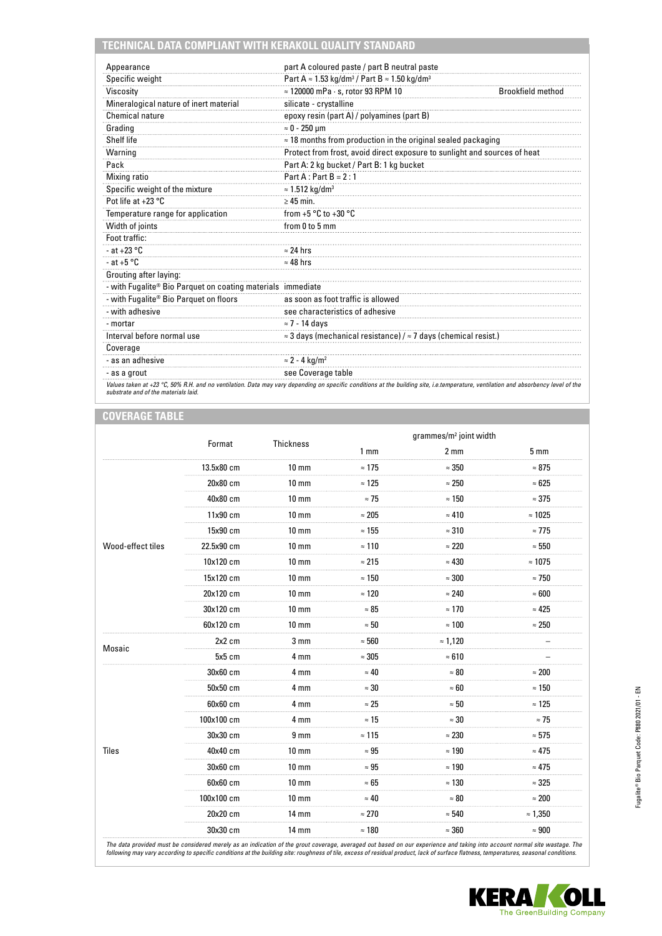# **TECHNICAL DATA COMPLIANT WITH KERAKOLL QUALITY STANDARD**

| Appearance                                                  | part A coloured paste / part B neutral paste                                        |                          |
|-------------------------------------------------------------|-------------------------------------------------------------------------------------|--------------------------|
| Specific weight                                             | Part A $\approx$ 1.53 kg/dm <sup>3</sup> / Part B $\approx$ 1.50 kg/dm <sup>3</sup> |                          |
| Viscosity                                                   | $\approx$ 120000 mPa $\cdot$ s, rotor 93 RPM 10                                     | <b>Brookfield method</b> |
| Mineralogical nature of inert material                      | silicate - crystalline                                                              |                          |
| <b>Chemical nature</b>                                      | epoxy resin (part A) / polyamines (part B)                                          |                          |
| Grading                                                     | $\approx 0 - 250$ um                                                                |                          |
| Shelf life                                                  | $\approx$ 18 months from production in the original sealed packaging                |                          |
| Warning                                                     | Protect from frost, avoid direct exposure to sunlight and sources of heat           |                          |
| Pack                                                        | Part A: 2 kg bucket / Part B: 1 kg bucket                                           |                          |
| Mixing ratio                                                | $Part A: Part B = 2:1$                                                              |                          |
| Specific weight of the mixture                              | $\approx$ 1.512 kg/dm <sup>3</sup>                                                  |                          |
| Pot life at +23 °C                                          | $\geq$ 45 min.                                                                      |                          |
| Temperature range for application                           | from +5 $^{\circ}$ C to +30 $^{\circ}$ C                                            |                          |
| Width of joints                                             | from 0 to 5 mm                                                                      |                          |
| Foot traffic:                                               |                                                                                     |                          |
| - at +23 $^{\circ}$ C                                       | $\approx$ 24 hrs                                                                    |                          |
| - at $+5$ °C                                                | $\approx$ 48 hrs                                                                    |                          |
| Grouting after laying:                                      |                                                                                     |                          |
| - with Fugalite® Bio Parquet on coating materials immediate |                                                                                     |                          |
| - with Fugalite <sup>®</sup> Bio Parquet on floors          | as soon as foot traffic is allowed                                                  |                          |
| - with adhesive                                             | see characteristics of adhesive                                                     |                          |
| - mortar                                                    | $\approx$ 7 - 14 days                                                               |                          |
| Interval before normal use                                  | $\approx$ 3 days (mechanical resistance) / $\approx$ 7 days (chemical resist.)      |                          |
| Coverage                                                    |                                                                                     |                          |
| - as an adhesive                                            | $\approx$ 2 - 4 kg/m <sup>2</sup>                                                   |                          |
| - as a grout                                                | see Coverage table                                                                  |                          |

## **COVERAGE TABLE**

|                        | Format     | Thickness         |                 | grammes/m <sup>2</sup> joint width |                 |
|------------------------|------------|-------------------|-----------------|------------------------------------|-----------------|
|                        |            |                   | 1 <sub>mm</sub> | 2 <sub>mm</sub>                    | 5 <sub>mm</sub> |
|                        | 13.5x80 cm | $10 \text{ mm}$   | $\approx 175$   | $\approx 350$                      | $\approx 875$   |
|                        | 20x80 cm   | $10 \text{ mm}$   | $\approx 125$   | $\approx 250$                      | $\approx 625$   |
|                        | 40x80 cm   | $10 \, \text{mm}$ | $\approx$ 75    | $\approx 150$                      | $\approx 375$   |
|                        | 11x90 cm   | $10 \text{ mm}$   | $\approx 205$   | $\approx 410$                      | $\approx 1025$  |
|                        | 15x90 cm   | $10 \text{ mm}$   | $\approx 155$   | $\approx 310$                      | $\approx$ 775   |
| Wood-effect tiles      | 22.5x90 cm | $10 \text{ mm}$   | $\approx$ 110   | $\approx 220$                      | $\approx 550$   |
|                        | 10x120 cm  | $10 \text{ mm}$   | $\approx 215$   | $\approx 430$                      | $\approx 1075$  |
|                        | 15x120 cm  | $10 \text{ mm}$   | $\approx 150$   | $\approx 300$                      | $\approx$ 750   |
|                        | 20x120 cm  | $10 \text{ mm}$   | $\approx 120$   | $\approx 240$                      | $\approx 600$   |
|                        | 30x120 cm  | $10 \text{ mm}$   | $\approx 85$    | $\approx 170$                      | $\approx 425$   |
|                        | 60x120 cm  | $10 \text{ mm}$   | $\approx 50$    | $\approx 100$                      | $\approx 250$   |
| Mosaic<br><b>Tiles</b> | $2x2$ cm   | 3 <sub>mm</sub>   | $\approx 560$   | $\approx 1,120$                    |                 |
|                        | 5x5 cm     | 4 mm              | $\approx 305$   | $\approx 610$                      |                 |
|                        | 30x60 cm   | 4 mm              | $\approx 40$    | $\approx 80$                       | $\approx 200$   |
|                        | 50x50 cm   | 4 mm              | $\approx 30$    | $\approx 60$                       | $\approx 150$   |
|                        | 60x60 cm   | 4 mm              | $\approx 25$    | $\approx 50$                       | $\approx 125$   |
|                        | 100x100 cm | 4 mm              | $\approx$ 15    | $\approx 30$                       | $\approx$ 75    |
|                        | 30x30 cm   | 9 <sub>mm</sub>   | $\approx 115$   | $\approx 230$                      | $\approx 575$   |
|                        | 40x40 cm   | $10 \text{ mm}$   | $\approx 95$    | $\approx 190$                      | $\approx 475$   |
|                        | 30x60 cm   | $10 \text{ mm}$   | $\approx 95$    | $\approx 190$                      | $\approx 475$   |
|                        | 60x60 cm   | $10 \text{ mm}$   | $\approx 65$    | $\approx 130$                      | $\approx 325$   |
|                        | 100x100 cm | $10 \, \text{mm}$ | $\approx 40$    | $\approx 80$                       | $\approx 200$   |
|                        | 20x20 cm   | $14 \text{ mm}$   | $\approx 270$   | $\approx 540$                      | $\approx 1,350$ |
|                        | 30x30 cm   | $14 \text{ mm}$   | $\approx$ 180   | $\approx 360$                      | $\approx 900$   |

The data provided must be considered merely as an indication of the grout coverage, averaged out based on our experience and taking into account normal site wastage. The<br>following may vary according to specific conditions

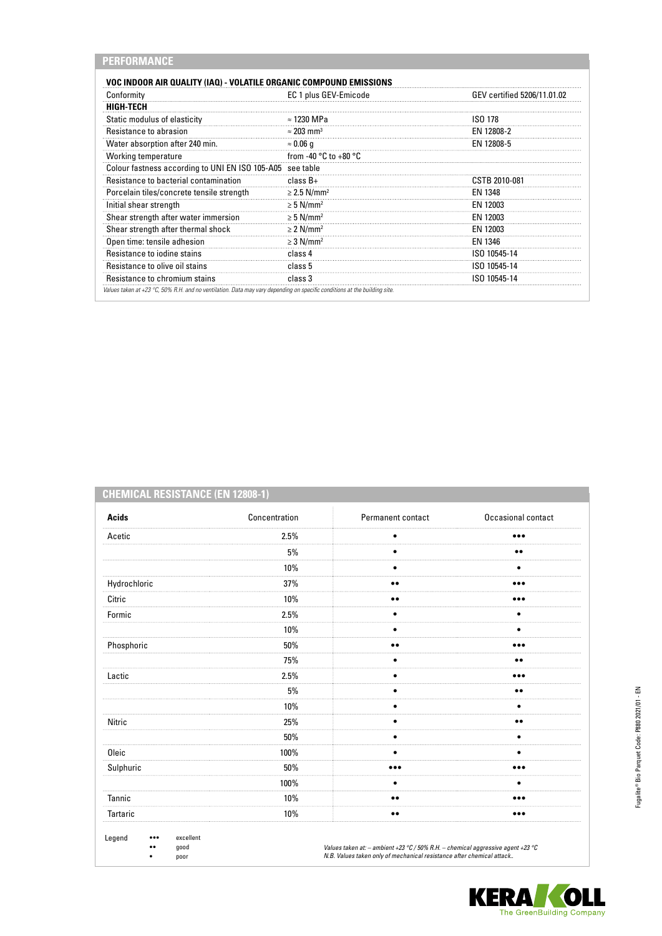| <b>VOC INDOOR AIR QUALITY (IAQ) - VOLATILE ORGANIC COMPOUND EMISSIONS</b> |                                           |                             |
|---------------------------------------------------------------------------|-------------------------------------------|-----------------------------|
| Conformity                                                                | EC 1 plus GEV-Emicode                     | GEV certified 5206/11.01.02 |
| HIGH-TECH                                                                 |                                           |                             |
| Static modulus of elasticity                                              | $\approx$ 1230 MPa                        | ISO 178                     |
| Resistance to abrasion                                                    | $\approx$ 203 mm <sup>3</sup>             | EN 12808-2                  |
| Water absorption after 240 min.                                           | $\approx 0.06$ q                          | EN 12808-5                  |
| Working temperature                                                       | from -40 $^{\circ}$ C to +80 $^{\circ}$ C |                             |
| Colour fastness according to UNI EN ISO 105-A05                           | see table                                 |                             |
| Resistance to bacterial contamination                                     | $class B+$                                | CSTB 2010-081               |
| Porcelain tiles/concrete tensile strength                                 | $\geq$ 2.5 N/mm <sup>2</sup>              | EN 1348                     |
| Initial shear strength                                                    | $\geq 5$ N/mm <sup>2</sup>                | EN 12003                    |
| Shear strength after water immersion                                      | $\geq$ 5 N/mm <sup>2</sup>                | EN 12003                    |
| Shear strength after thermal shock                                        | $\geq$ 2 N/mm <sup>2</sup>                | EN 12003                    |
| Open time: tensile adhesion                                               | $\geq$ 3 N/mm <sup>2</sup>                | EN 1346                     |
| Resistance to jodine stains                                               | class 4                                   | ISO 10545-14                |
| Resistance to olive oil stains                                            | class 5                                   | ISO 10545-14                |
| Resistance to chromium stains                                             | class 3                                   | ISO 10545-14                |

# **CHEMICAL RESISTANCE (EN 12808-1)**

| <b>Acids</b> | Concentration | Permanent contact | Occasional contact      |
|--------------|---------------|-------------------|-------------------------|
| Acetic       | 2.5%          | $\bullet$         |                         |
|              | 5%            | $\bullet$         | $\bullet\bullet$        |
|              | 10%           | ٠                 |                         |
| Hydrochloric | 37%           | $\bullet\bullet$  | $\bullet\bullet\bullet$ |
| Citric       | 10%           | $\bullet\bullet$  |                         |
| Formic       | 2.5%          | $\bullet$         | $\bullet$               |
|              | 10%           | ٠                 | ٠                       |
| Phosphoric   | 50%           | $\bullet\bullet$  |                         |
|              | 75%           | $\bullet$         | $\bullet\bullet$        |
| Lactic       | 2.5%          |                   |                         |
|              | 5%            | ٠                 | $\bullet$               |
|              | 10%           | ٠                 | ٠                       |
| Nitric       | 25%           | ٠                 | $\bullet\bullet$        |
|              | 50%           | ٠                 | ٠                       |
| Oleic        | 100%          |                   |                         |
| Sulphuric    | 50%           |                   |                         |
|              | 100%          | ٠                 |                         |
| Tannic       | 10%           | $\bullet\bullet$  |                         |
| Tartaric     | 10%           | $\bullet\bullet$  |                         |

**KERA OLL**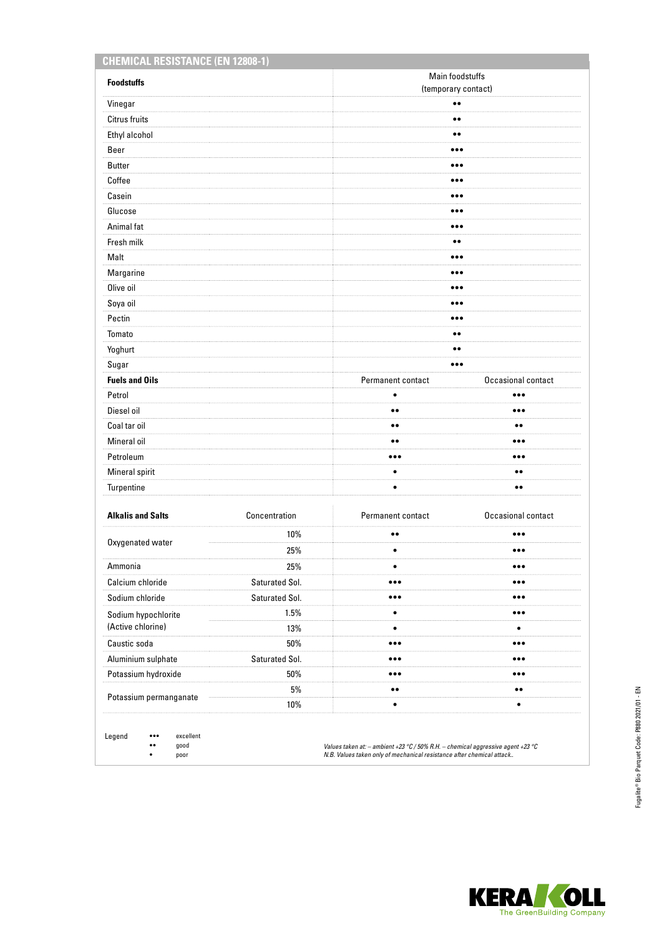| <b>Foodstuffs</b>                        |                 | Main foodstuffs                         |                         |  |
|------------------------------------------|-----------------|-----------------------------------------|-------------------------|--|
|                                          |                 | (temporary contact)<br>$\bullet\bullet$ |                         |  |
| Vinegar                                  |                 |                                         |                         |  |
| Citrus fruits                            |                 | $\bullet\bullet$                        |                         |  |
| Ethyl alcohol                            |                 | $\bullet\bullet$                        |                         |  |
| Beer                                     |                 | $\bullet\bullet\bullet$                 |                         |  |
| <b>Butter</b>                            |                 | $\bullet\bullet\bullet$                 |                         |  |
| Coffee                                   |                 | $\bullet\bullet\bullet$                 |                         |  |
| Casein                                   |                 | $\bullet\bullet\bullet$                 |                         |  |
| Glucose                                  |                 | $\bullet\bullet\bullet$                 |                         |  |
| Animal fat                               |                 | $\bullet\bullet\bullet$                 |                         |  |
| Fresh milk                               |                 | $\bullet\bullet$                        |                         |  |
| Malt                                     |                 | $\bullet\bullet\bullet$                 |                         |  |
| Margarine                                |                 | $\bullet\bullet\bullet$                 |                         |  |
| Olive oil                                |                 |                                         |                         |  |
| Soya oil                                 |                 | $\bullet\bullet\bullet$                 |                         |  |
| Pectin                                   |                 | $\bullet\bullet\bullet$                 |                         |  |
| Tomato                                   |                 | $\bullet\bullet$                        |                         |  |
| Yoghurt                                  |                 | $\bullet\bullet$                        |                         |  |
| Sugar                                    |                 | $\bullet\bullet\bullet$                 |                         |  |
| <b>Fuels and Oils</b>                    |                 | Permanent contact                       | Occasional contact      |  |
| Petrol                                   |                 | $\bullet$                               | $\bullet\bullet\bullet$ |  |
| Diesel oil                               |                 | $\bullet\bullet$                        | $\bullet\bullet\bullet$ |  |
| Coal tar oil                             |                 | $\bullet$                               |                         |  |
| Mineral oil                              |                 | $\bullet\bullet$                        | $\bullet\bullet\bullet$ |  |
| Petroleum                                |                 | $\bullet\bullet\bullet$                 | $\bullet\bullet\bullet$ |  |
| Mineral spirit                           |                 | $\bullet$                               | $\bullet\bullet$        |  |
| Turpentine                               |                 | $\bullet$                               | $\bullet\bullet$        |  |
| <b>Alkalis and Salts</b>                 | Concentration   | Permanent contact                       | Occasional contact      |  |
|                                          | 10%             | $\bullet\bullet$                        |                         |  |
| Oxygenated water                         | 25%             | $\bullet$                               | $\bullet\bullet\bullet$ |  |
| Ammonia                                  | 25%             | $\bullet$                               |                         |  |
| Calcium chloride                         | Saturated Sol.  | $\bullet\bullet\bullet$                 | $\bullet\bullet\bullet$ |  |
| Sodium chloride                          | Saturated Sol.  | $\bullet\bullet\bullet$                 | $\bullet\bullet\bullet$ |  |
|                                          | 1.5%            | $\bullet$                               | $\bullet\bullet\bullet$ |  |
| Sodium hypochlorite<br>(Active chlorine) | 13%             | $\bullet$                               | $\bullet$               |  |
| Caustic soda                             | $50\%$          | $\bullet\bullet\bullet$                 | $\bullet\bullet\bullet$ |  |
| Aluminium sulphate                       | Saturated Sol.  | $\bullet\bullet\bullet$                 | $\bullet\bullet\bullet$ |  |
| Potassium hydroxide                      | 50%             | $\bullet\bullet\bullet$                 |                         |  |
|                                          |                 | $\bullet\bullet$                        | $\bullet\bullet$        |  |
| Potassium permanganate                   | $5\%$<br>$10\%$ | $\bullet$                               | $\bullet$               |  |

Legend ••• excellent •• good

• poor

*Values taken at: – ambient +23 °C / 50% R.H. – chemical aggressive agent +23 °C N.B. Values taken only of mechanical resistance after chemical attack..*

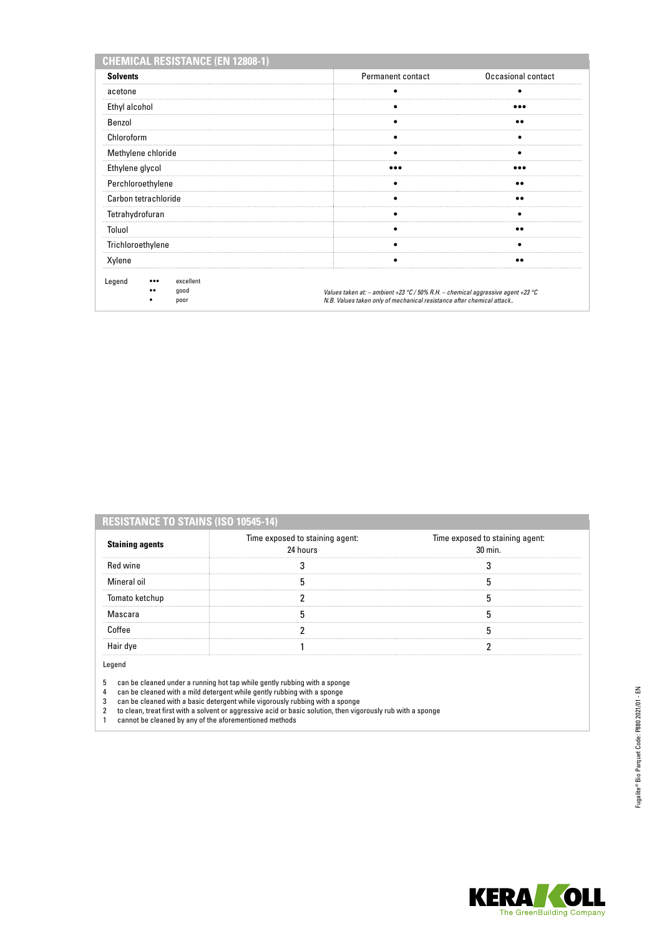| <b>CHEMICAL RESISTANCE (EN 12808-1)</b>                        |                                                                                                                                                          |                    |
|----------------------------------------------------------------|----------------------------------------------------------------------------------------------------------------------------------------------------------|--------------------|
| <b>Solvents</b>                                                | <b>Permanent contact</b>                                                                                                                                 | Occasional contact |
| acetone                                                        |                                                                                                                                                          |                    |
| Ethyl alcohol                                                  |                                                                                                                                                          |                    |
| Benzol                                                         |                                                                                                                                                          |                    |
| Chloroform                                                     |                                                                                                                                                          |                    |
| Methylene chloride                                             | ٠                                                                                                                                                        | ٠                  |
| Ethylene glycol                                                |                                                                                                                                                          |                    |
| Perchloroethylene                                              |                                                                                                                                                          |                    |
| Carbon tetrachloride                                           |                                                                                                                                                          | $\bullet\bullet$   |
| Tetrahydrofuran                                                |                                                                                                                                                          |                    |
| Toluol                                                         |                                                                                                                                                          | $\bullet$          |
| Trichloroethylene                                              |                                                                                                                                                          |                    |
| Xylene                                                         |                                                                                                                                                          |                    |
| Legend<br>excellent<br>$\bullet\bullet\bullet$<br>good<br>poor | Values taken at: - ambient +23 °C / 50% R.H. - chemical aggressive agent +23 °C<br>N.B. Values taken only of mechanical resistance after chemical attack |                    |

| <b>Staining agents</b> | Time exposed to staining agent:<br>24 hours | Time exposed to staining agent:<br>$30 \text{ min}$ |
|------------------------|---------------------------------------------|-----------------------------------------------------|
| <b>Red wine</b>        |                                             |                                                     |
| Mineral oil            |                                             |                                                     |
| Tomato ketchup         |                                             |                                                     |
| Mascara                |                                             |                                                     |
| Coffee                 |                                             |                                                     |
| Hair dve               |                                             |                                                     |

Legend

I

5 can be cleaned under a running hot tap while gently rubbing with a sponge

4 can be cleaned with a mild detergent while gently rubbing with a sponge

- 3 can be cleaned with a basic detergent while vigorously rubbing with a sponge
- 2 to clean, treat first with a solvent or aggressive acid or basic solution, then vigorously rub with a sponge
- 1 cannot be cleaned by any of the aforementioned methods